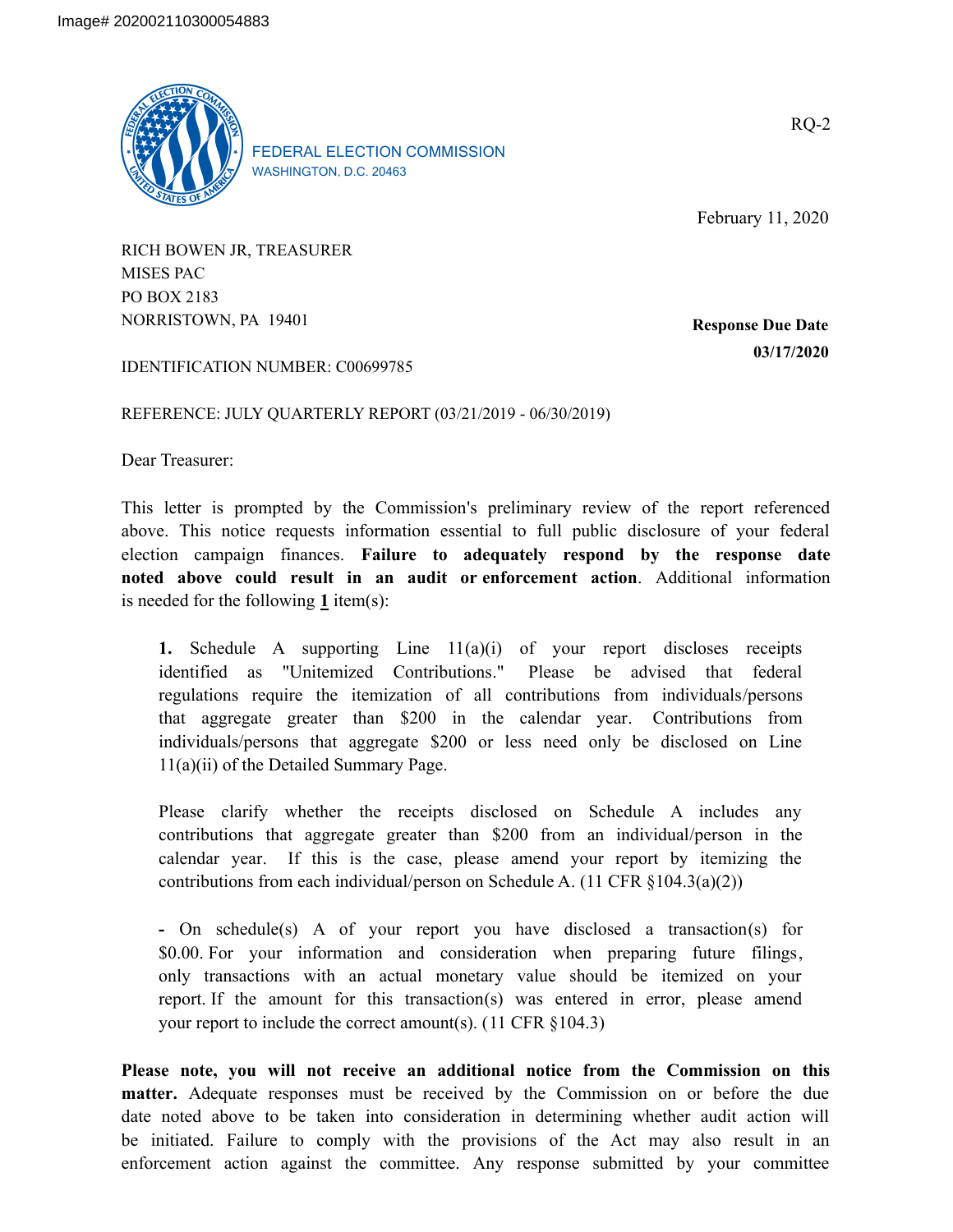

FEDERAL ELECTION COMMISSION WASHINGTON, D.C. 20463

February 11, 2020

RICH BOWEN JR, TREASURER MISES PAC PO BOX 2183 NORRISTOWN, PA 19401

**Response Due Date 03/17/2020**

IDENTIFICATION NUMBER: C00699785

REFERENCE: JULY QUARTERLY REPORT (03/21/2019 - 06/30/2019)

Dear Treasurer:

This letter is prompted by the Commission's preliminary review of the report referenced above. This notice requests information essential to full public disclosure of your federal election campaign finances. **Failure to adequately respond by the response date noted above could result in an audit or enforcement action**. Additional information is needed for the following **1** item(s):

**1.** Schedule A supporting Line 11(a)(i) of your report discloses receipts identified as "Unitemized Contributions." Please be advised that federal regulations require the itemization of all contributions from individuals/persons that aggregate greater than \$200 in the calendar year. Contributions from individuals/persons that aggregate \$200 or less need only be disclosed on Line 11(a)(ii) of the Detailed Summary Page.

Please clarify whether the receipts disclosed on Schedule A includes any contributions that aggregate greater than \$200 from an individual/person in the calendar year. If this is the case, please amend your report by itemizing the contributions from each individual/person on Schedule A. (11 CFR  $\S 104.3(a)(2)$ )

**-** On schedule(s) A of your report you have disclosed a transaction(s) for \$0.00. For your information and consideration when preparing future filings, only transactions with an actual monetary value should be itemized on your report. If the amount for this transaction(s) was entered in error, please amend your report to include the correct amount(s). (11 CFR §104.3)

**Please note, you will not receive an additional notice from the Commission on this matter.** Adequate responses must be received by the Commission on or before the due date noted above to be taken into consideration in determining whether audit action will be initiated. Failure to comply with the provisions of the Act may also result in an enforcement action against the committee. Any response submitted by your committee

RQ-2